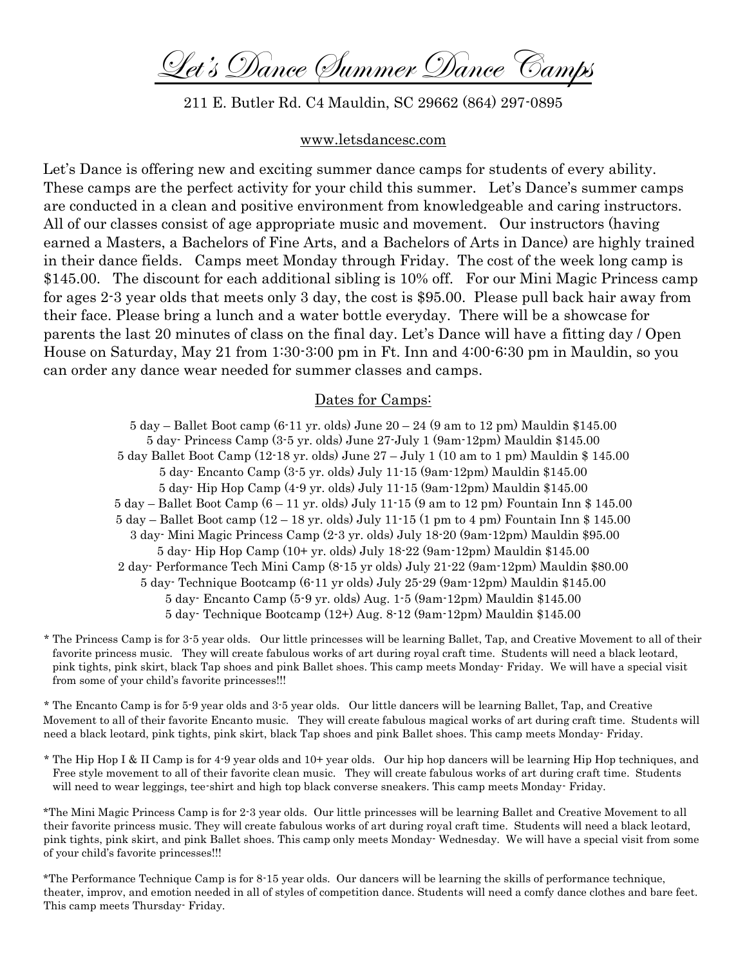Let's Dance Summer Dance Camps

211 E. Butler Rd. C4 Mauldin, SC 29662 (864) 297-0895

#### [www.letsdancesc.com](http://www.letsdancesc.com/)

Let's Dance is offering new and exciting summer dance camps for students of every ability. These camps are the perfect activity for your child this summer. Let's Dance's summer camps are conducted in a clean and positive environment from knowledgeable and caring instructors. All of our classes consist of age appropriate music and movement. Our instructors (having earned a Masters, a Bachelors of Fine Arts, and a Bachelors of Arts in Dance) are highly trained in their dance fields. Camps meet Monday through Friday. The cost of the week long camp is \$145.00. The discount for each additional sibling is 10% off. For our Mini Magic Princess camp for ages 2-3 year olds that meets only 3 day, the cost is \$95.00. Please pull back hair away from their face. Please bring a lunch and a water bottle everyday. There will be a showcase for parents the last 20 minutes of class on the final day. Let's Dance will have a fitting day / Open House on Saturday, May 21 from 1:30-3:00 pm in Ft. Inn and 4:00-6:30 pm in Mauldin, so you can order any dance wear needed for summer classes and camps.

### Dates for Camps:

5 day – Ballet Boot camp (6-11 yr. olds) June  $20 - 24$  (9 am to 12 pm) Mauldin \$145.00 5 day- Princess Camp (3-5 yr. olds) June 27-July 1 (9am-12pm) Mauldin \$145.00 5 day Ballet Boot Camp (12-18 yr. olds) June 27 – July 1 (10 am to 1 pm) Mauldin \$ 145.00 5 day- Encanto Camp (3-5 yr. olds) July 11-15 (9am-12pm) Mauldin \$145.00 5 day- Hip Hop Camp (4-9 yr. olds) July 11-15 (9am-12pm) Mauldin \$145.00 5 day – Ballet Boot Camp (6 – 11 yr. olds) July 11-15 (9 am to 12 pm) Fountain Inn \$ 145.00 5 day – Ballet Boot camp (12 – 18 yr. olds) July 11-15 (1 pm to 4 pm) Fountain Inn \$ 145.00 3 day- Mini Magic Princess Camp (2-3 yr. olds) July 18-20 (9am-12pm) Mauldin \$95.00 5 day- Hip Hop Camp (10+ yr. olds) July 18-22 (9am-12pm) Mauldin \$145.00 2 day- Performance Tech Mini Camp (8-15 yr olds) July 21-22 (9am-12pm) Mauldin \$80.00 5 day- Technique Bootcamp (6-11 yr olds) July 25-29 (9am-12pm) Mauldin \$145.00 5 day- Encanto Camp (5-9 yr. olds) Aug. 1-5 (9am-12pm) Mauldin \$145.00 5 day- Technique Bootcamp (12+) Aug. 8-12 (9am-12pm) Mauldin \$145.00

\* The Princess Camp is for 3-5 year olds. Our little princesses will be learning Ballet, Tap, and Creative Movement to all of their favorite princess music. They will create fabulous works of art during royal craft time. Students will need a black leotard, pink tights, pink skirt, black Tap shoes and pink Ballet shoes. This camp meets Monday- Friday. We will have a special visit from some of your child's favorite princesses!!!

\* The Encanto Camp is for 5-9 year olds and 3-5 year olds. Our little dancers will be learning Ballet, Tap, and Creative Movement to all of their favorite Encanto music. They will create fabulous magical works of art during craft time. Students will need a black leotard, pink tights, pink skirt, black Tap shoes and pink Ballet shoes. This camp meets Monday- Friday.

\* The Hip Hop I & II Camp is for 4-9 year olds and 10+ year olds. Our hip hop dancers will be learning Hip Hop techniques, and Free style movement to all of their favorite clean music. They will create fabulous works of art during craft time. Students will need to wear leggings, tee-shirt and high top black converse sneakers. This camp meets Monday- Friday.

\*The Mini Magic Princess Camp is for 2-3 year olds. Our little princesses will be learning Ballet and Creative Movement to all their favorite princess music. They will create fabulous works of art during royal craft time. Students will need a black leotard, pink tights, pink skirt, and pink Ballet shoes. This camp only meets Monday- Wednesday. We will have a special visit from some of your child's favorite princesses!!!

\*The Performance Technique Camp is for 8-15 year olds. Our dancers will be learning the skills of performance technique, theater, improv, and emotion needed in all of styles of competition dance. Students will need a comfy dance clothes and bare feet. This camp meets Thursday- Friday.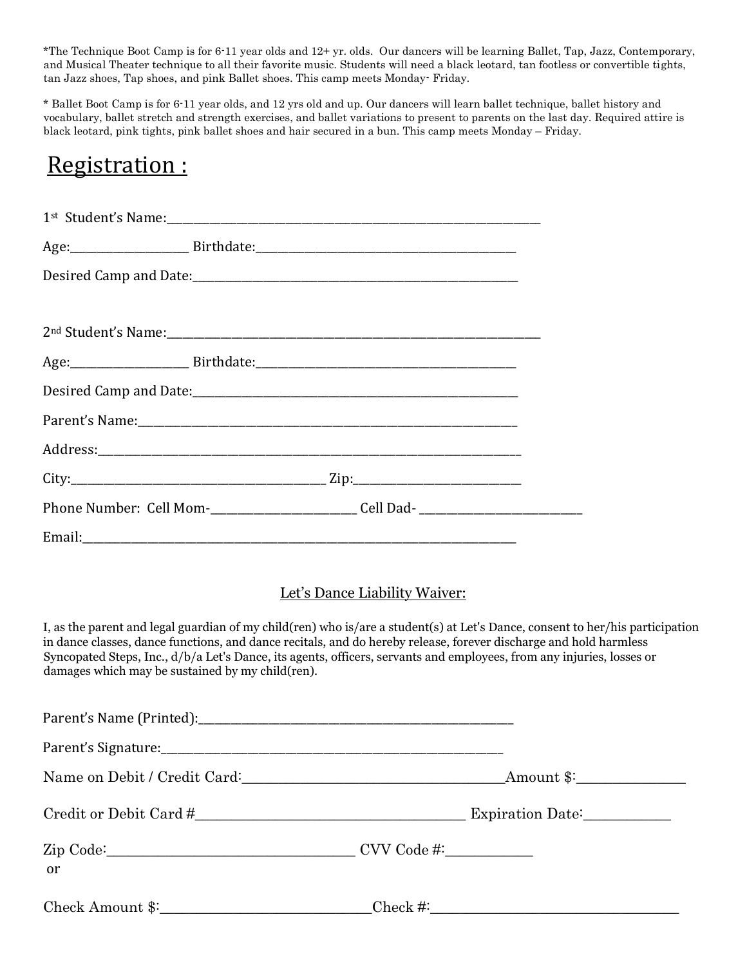\*The Technique Boot Camp is for 6-11 year olds and 12+ yr. olds. Our dancers will be learning Ballet, Tap, Jazz, Contemporary, and Musical Theater technique to all their favorite music. Students will need a black leotard, tan footless or convertible tights, tan Jazz shoes, Tap shoes, and pink Ballet shoes. This camp meets Monday- Friday.

\* Ballet Boot Camp is for 6-11 year olds, and 12 yrs old and up. Our dancers will learn ballet technique, ballet history and vocabulary, ballet stretch and strength exercises, and ballet variations to present to parents on the last day. Required attire is black leotard, pink tights, pink ballet shoes and hair secured in a bun. This camp meets Monday – Friday.

# Registration :

|                                                  | Phone Number: Cell Mom-_________________________Cell Dad- _______________________                                                                                                                                                          |                               |                                                                                                                               |
|--------------------------------------------------|--------------------------------------------------------------------------------------------------------------------------------------------------------------------------------------------------------------------------------------------|-------------------------------|-------------------------------------------------------------------------------------------------------------------------------|
|                                                  |                                                                                                                                                                                                                                            |                               |                                                                                                                               |
| damages which may be sustained by my child(ren). | in dance classes, dance functions, and dance recitals, and do hereby release, forever discharge and hold harmless<br>Syncopated Steps, Inc., d/b/a Let's Dance, its agents, officers, servants and employees, from any injuries, losses or | Let's Dance Liability Waiver: | I, as the parent and legal guardian of my child(ren) who is/are a student(s) at Let's Dance, consent to her/his participation |
|                                                  |                                                                                                                                                                                                                                            |                               |                                                                                                                               |
|                                                  |                                                                                                                                                                                                                                            |                               |                                                                                                                               |
|                                                  |                                                                                                                                                                                                                                            |                               |                                                                                                                               |
|                                                  |                                                                                                                                                                                                                                            |                               |                                                                                                                               |

Zip Code:\_\_\_\_\_\_\_\_\_\_\_\_\_\_\_\_\_\_\_\_\_\_\_\_\_\_\_\_\_\_\_\_\_\_ CVV Code #:\_\_\_\_\_\_\_\_\_\_\_\_

| Check Amount \$: |
|------------------|
|------------------|

or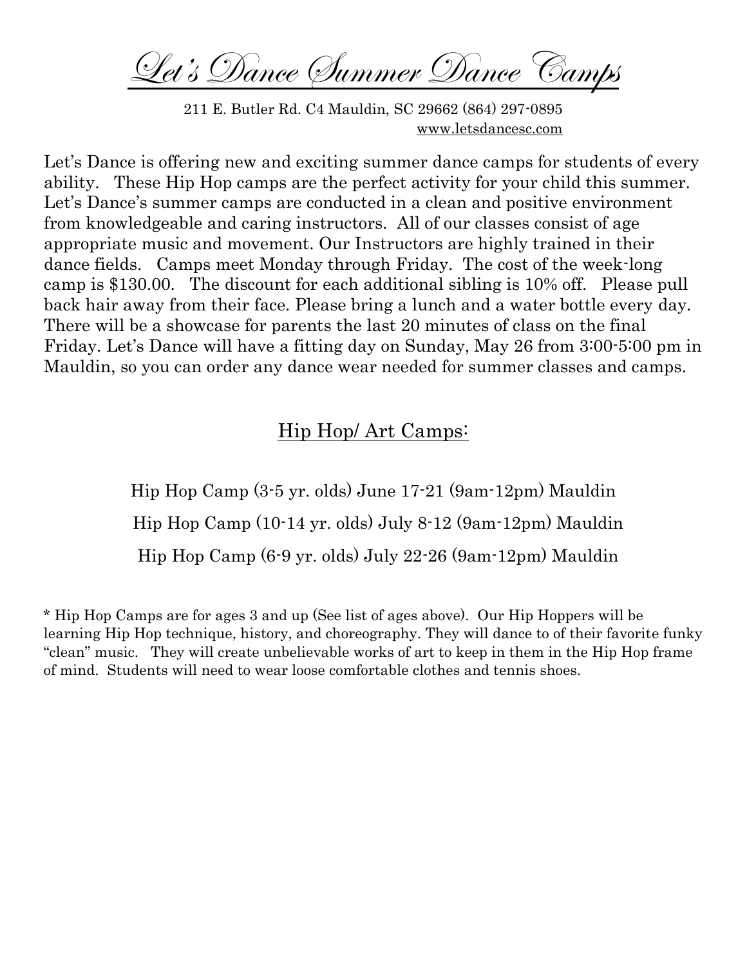Let's Dance Summer Dance Camps

211 E. Butler Rd. C4 Mauldin, SC 29662 (864) 297-0895 [www.letsdancesc.com](http://www.letsdancesc.com/)

Let's Dance is offering new and exciting summer dance camps for students of every ability. These Hip Hop camps are the perfect activity for your child this summer. Let's Dance's summer camps are conducted in a clean and positive environment from knowledgeable and caring instructors. All of our classes consist of age appropriate music and movement. Our Instructors are highly trained in their dance fields. Camps meet Monday through Friday. The cost of the week-long camp is \$130.00. The discount for each additional sibling is 10% off. Please pull back hair away from their face. Please bring a lunch and a water bottle every day. There will be a showcase for parents the last 20 minutes of class on the final Friday. Let's Dance will have a fitting day on Sunday, May 26 from 3:00-5:00 pm in Mauldin, so you can order any dance wear needed for summer classes and camps.

## Hip Hop/ Art Camps:

Hip Hop Camp (3-5 yr. olds) June 17-21 (9am-12pm) Mauldin Hip Hop Camp (10-14 yr. olds) July 8-12 (9am-12pm) Mauldin Hip Hop Camp (6-9 yr. olds) July 22-26 (9am-12pm) Mauldin

\* Hip Hop Camps are for ages 3 and up (See list of ages above). Our Hip Hoppers will be learning Hip Hop technique, history, and choreography. They will dance to of their favorite funky "clean" music. They will create unbelievable works of art to keep in them in the Hip Hop frame of mind. Students will need to wear loose comfortable clothes and tennis shoes.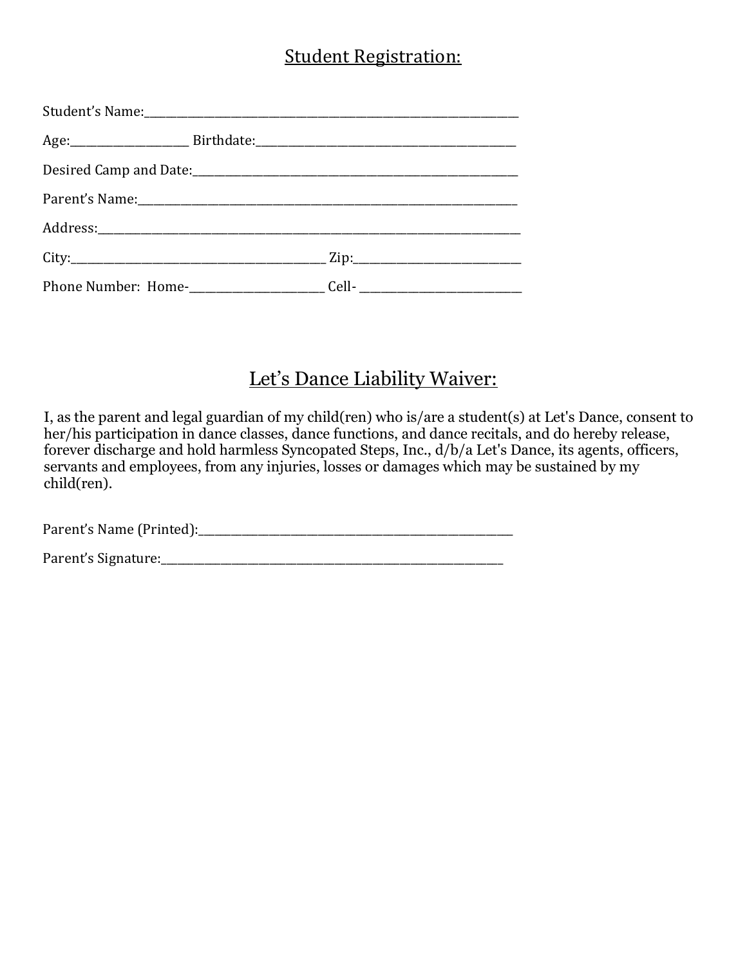## Student Registration:

# Let's Dance Liability Waiver:

I, as the parent and legal guardian of my child(ren) who is/are a student(s) at Let's Dance, consent to her/his participation in dance classes, dance functions, and dance recitals, and do hereby release, forever discharge and hold harmless Syncopated Steps, Inc., d/b/a Let's Dance, its agents, officers, servants and employees, from any injuries, losses or damages which may be sustained by my child(ren).

Parent's Name (Printed):\_\_\_\_\_\_\_\_\_\_\_\_\_\_\_\_\_\_\_\_\_\_\_\_\_\_\_\_\_\_\_\_\_\_\_\_\_\_\_\_\_\_\_\_\_\_\_\_\_\_\_\_\_\_\_\_\_\_

Parent's Signature:\_\_\_\_\_\_\_\_\_\_\_\_\_\_\_\_\_\_\_\_\_\_\_\_\_\_\_\_\_\_\_\_\_\_\_\_\_\_\_\_\_\_\_\_\_\_\_\_\_\_\_\_\_\_\_\_\_\_\_\_\_\_\_